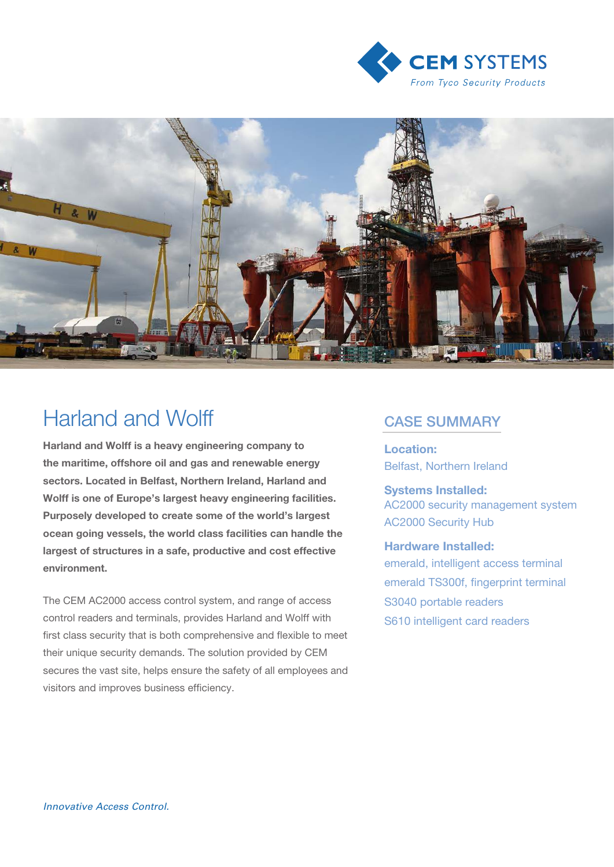



# Harland and Wolff **CASE SUMMARY**

Harland and Wolff is a heavy engineering company to the maritime, offshore oil and gas and renewable energy sectors. Located in Belfast, Northern Ireland, Harland and Wolff is one of Europe's largest heavy engineering facilities. Purposely developed to create some of the world's largest ocean going vessels, the world class facilities can handle the largest of structures in a safe, productive and cost effective environment.

The CEM AC2000 access control system, and range of access control readers and terminals, provides Harland and Wolff with first class security that is both comprehensive and flexible to meet their unique security demands. The solution provided by CEM secures the vast site, helps ensure the safety of all employees and visitors and improves business efficiency.

Location: Belfast, Northern Ireland

### Systems Installed:

AC2000 security management system AC2000 Security Hub

#### Hardware Installed:

emerald, intelligent access terminal emerald TS300f, fingerprint terminal S3040 portable readers S610 intelligent card readers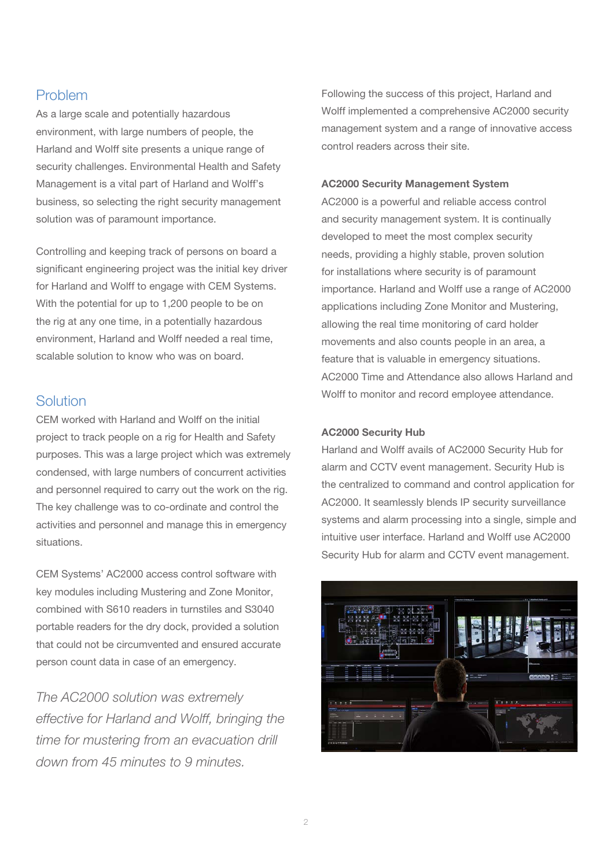# Problem

As a large scale and potentially hazardous environment, with large numbers of people, the Harland and Wolff site presents a unique range of security challenges. Environmental Health and Safety Management is a vital part of Harland and Wolff's business, so selecting the right security management solution was of paramount importance.

Controlling and keeping track of persons on board a significant engineering project was the initial key driver for Harland and Wolff to engage with CEM Systems. With the potential for up to 1,200 people to be on the rig at any one time, in a potentially hazardous environment, Harland and Wolff needed a real time, scalable solution to know who was on board.

## **Solution**

CEM worked with Harland and Wolff on the initial project to track people on a rig for Health and Safety purposes. This was a large project which was extremely condensed, with large numbers of concurrent activities and personnel required to carry out the work on the rig. The key challenge was to co-ordinate and control the activities and personnel and manage this in emergency situations.

CEM Systems' AC2000 access control software with key modules including Mustering and Zone Monitor, combined with S610 readers in turnstiles and S3040 portable readers for the dry dock, provided a solution that could not be circumvented and ensured accurate person count data in case of an emergency.

The AC2000 solution was extremely effective for Harland and Wolff, bringing the time for mustering from an evacuation drill down from 45 minutes to 9 minutes.

Following the success of this project, Harland and Wolff implemented a comprehensive AC2000 security management system and a range of innovative access control readers across their site.

#### AC2000 Security Management System

AC2000 is a powerful and reliable access control and security management system. It is continually developed to meet the most complex security needs, providing a highly stable, proven solution for installations where security is of paramount importance. Harland and Wolff use a range of AC2000 applications including Zone Monitor and Mustering, allowing the real time monitoring of card holder movements and also counts people in an area, a feature that is valuable in emergency situations. AC2000 Time and Attendance also allows Harland and Wolff to monitor and record employee attendance.

#### AC2000 Security Hub

Harland and Wolff avails of AC2000 Security Hub for alarm and CCTV event management. Security Hub is the centralized to command and control application for AC2000. It seamlessly blends IP security surveillance systems and alarm processing into a single, simple and intuitive user interface. Harland and Wolff use AC2000 Security Hub for alarm and CCTV event management.

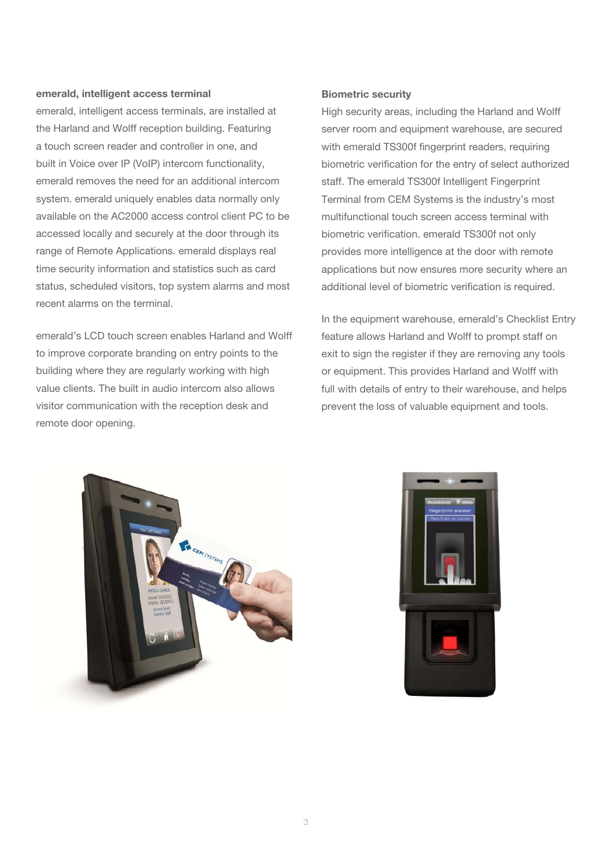#### emerald, intelligent access terminal

emerald, intelligent access terminals, are installed at the Harland and Wolff reception building. Featuring a touch screen reader and controller in one, and built in Voice over IP (VoIP) intercom functionality, emerald removes the need for an additional intercom system, emerald uniquely enables data normally only available on the AC2000 access control client PC to be accessed locally and securely at the door through its range of Remote Applications. emerald displays real time security information and statistics such as card status, scheduled visitors, top system alarms and most recent alarms on the terminal.

emerald's LCD touch screen enables Harland and Wolff to improve corporate branding on entry points to the building where they are regularly working with high value clients. The built in audio intercom also allows visitor communication with the reception desk and remote door opening.

#### Biometric security

High security areas, including the Harland and Wolff server room and equipment warehouse, are secured with emerald TS300f fingerprint readers, requiring biometric verification for the entry of select authorized staff. The emerald TS300f Intelligent Fingerprint Terminal from CEM Systems is the industry's most multifunctional touch screen access terminal with biometric verification. emerald TS300f not only provides more intelligence at the door with remote applications but now ensures more security where an additional level of biometric verification is required.

In the equipment warehouse, emerald's Checklist Entry feature allows Harland and Wolff to prompt staff on exit to sign the register if they are removing any tools or equipment. This provides Harland and Wolff with full with details of entry to their warehouse, and helps prevent the loss of valuable equipment and tools.